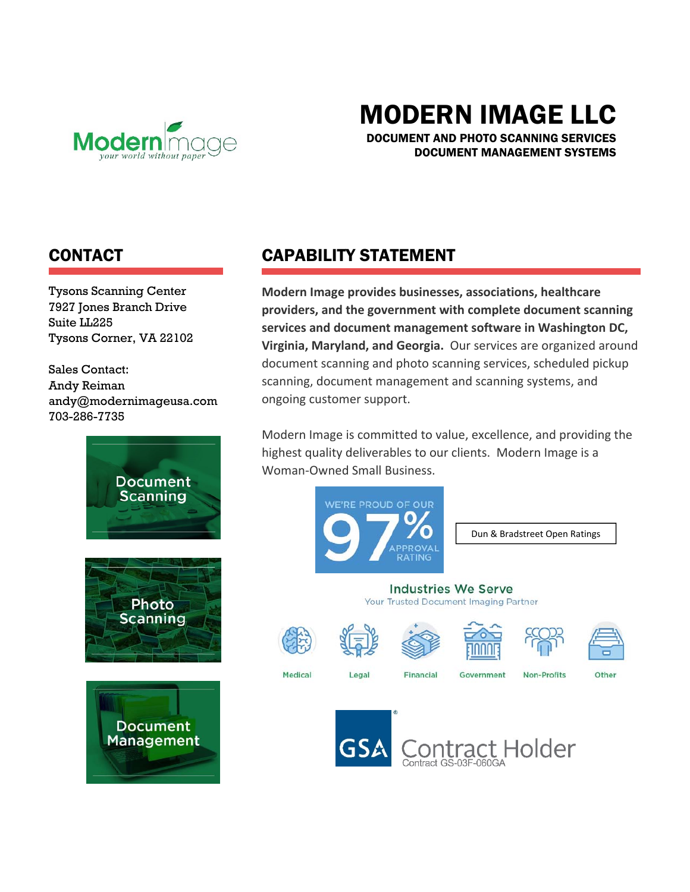

# MODERN IMAGE LLC

DOCUMENT AND PHOTO SCANNING SERVICES DOCUMENT MANAGEMENT SYSTEMS

### CONTACT

Tysons Scanning Center 7927 Jones Branch Drive Suite LL225 Tysons Corner, VA 22102

Sales Contact: Andy Reiman andy@modernimageusa.com 703-286-7735



# CAPABILITY STATEMENT

**Modern Image provides businesses, associations, healthcare providers, and the government with complete document scanning services and document management software in Washington DC, Virginia, Maryland, and Georgia.** Our services are organized around document scanning and photo scanning services, scheduled pickup scanning, document management and scanning systems, and ongoing customer support.

Modern Image is committed to value, excellence, and providing the highest quality deliverables to our clients. Modern Image is a Woman‐Owned Small Business.



Dun & Bradstreet Open Ratings

#### **Industries We Serve** Your Trusted Document Imaging Partner



Medical













Legal

Financial

Government



Other